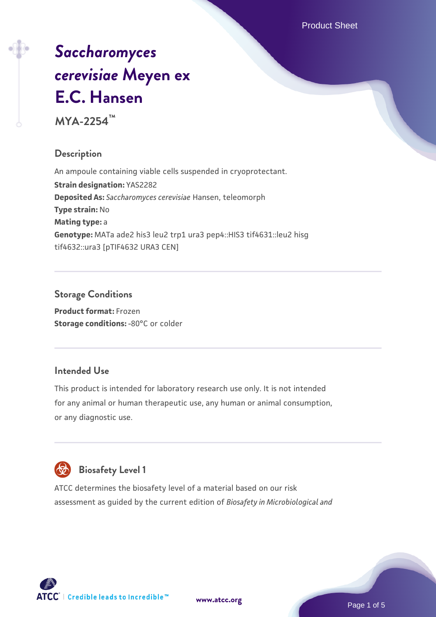Product Sheet

# *[Saccharomyces](https://www.atcc.org/products/mya-2254) [cerevisiae](https://www.atcc.org/products/mya-2254)* **[Meyen ex](https://www.atcc.org/products/mya-2254) [E.C. Hansen](https://www.atcc.org/products/mya-2254)**

**MYA-2254™**

# **Description**

An ampoule containing viable cells suspended in cryoprotectant. **Strain designation:** YAS2282 **Deposited As:** *Saccharomyces cerevisiae* Hansen, teleomorph **Type strain:** No **Mating type:** a **Genotype:** MATa ade2 his3 leu2 trp1 ura3 pep4::HIS3 tif4631::leu2 hisg tif4632::ura3 [pTIF4632 URA3 CEN]

# **Storage Conditions**

**Product format:** Frozen **Storage conditions: -80°C or colder** 

# **Intended Use**

This product is intended for laboratory research use only. It is not intended for any animal or human therapeutic use, any human or animal consumption, or any diagnostic use.



# **Biosafety Level 1**

ATCC determines the biosafety level of a material based on our risk assessment as guided by the current edition of *Biosafety in Microbiological and*

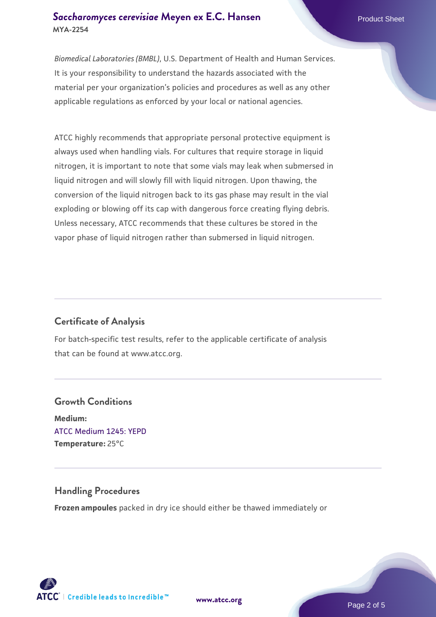#### **[Saccharomyces cerevisiae](https://www.atcc.org/products/mya-2254)** [Meyen ex E.C. Hansen](https://www.atcc.org/products/mya-2254) **MYA-2254**

*Biomedical Laboratories (BMBL)*, U.S. Department of Health and Human Services. It is your responsibility to understand the hazards associated with the material per your organization's policies and procedures as well as any other applicable regulations as enforced by your local or national agencies.

ATCC highly recommends that appropriate personal protective equipment is always used when handling vials. For cultures that require storage in liquid nitrogen, it is important to note that some vials may leak when submersed in liquid nitrogen and will slowly fill with liquid nitrogen. Upon thawing, the conversion of the liquid nitrogen back to its gas phase may result in the vial exploding or blowing off its cap with dangerous force creating flying debris. Unless necessary, ATCC recommends that these cultures be stored in the vapor phase of liquid nitrogen rather than submersed in liquid nitrogen.

# **Certificate of Analysis**

For batch-specific test results, refer to the applicable certificate of analysis that can be found at www.atcc.org.

# **Growth Conditions Medium:**  [ATCC Medium 1245: YEPD](https://www.atcc.org/-/media/product-assets/documents/microbial-media-formulations/1/2/4/5/atcc-medium-1245.pdf?rev=705ca55d1b6f490a808a965d5c072196) **Temperature:** 25°C

# **Handling Procedures**

**Frozen ampoules** packed in dry ice should either be thawed immediately or

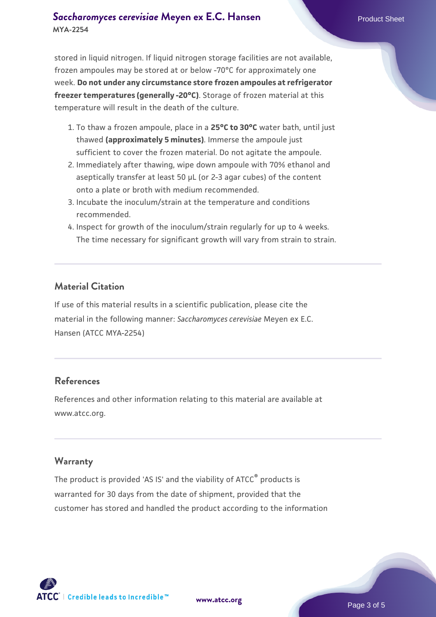## **[Saccharomyces cerevisiae](https://www.atcc.org/products/mya-2254)** [Meyen ex E.C. Hansen](https://www.atcc.org/products/mya-2254) **MYA-2254**

stored in liquid nitrogen. If liquid nitrogen storage facilities are not available, frozen ampoules may be stored at or below -70°C for approximately one week. **Do not under any circumstance store frozen ampoules at refrigerator freezer temperatures (generally -20°C)**. Storage of frozen material at this temperature will result in the death of the culture.

- 1. To thaw a frozen ampoule, place in a **25°C to 30°C** water bath, until just thawed **(approximately 5 minutes)**. Immerse the ampoule just sufficient to cover the frozen material. Do not agitate the ampoule.
- 2. Immediately after thawing, wipe down ampoule with 70% ethanol and aseptically transfer at least 50 µL (or 2-3 agar cubes) of the content onto a plate or broth with medium recommended.
- 3. Incubate the inoculum/strain at the temperature and conditions recommended.
- 4. Inspect for growth of the inoculum/strain regularly for up to 4 weeks. The time necessary for significant growth will vary from strain to strain.

#### **Material Citation**

If use of this material results in a scientific publication, please cite the material in the following manner: *Saccharomyces cerevisiae* Meyen ex E.C. Hansen (ATCC MYA-2254)

#### **References**

References and other information relating to this material are available at www.atcc.org.

#### **Warranty**

The product is provided 'AS IS' and the viability of ATCC® products is warranted for 30 days from the date of shipment, provided that the customer has stored and handled the product according to the information

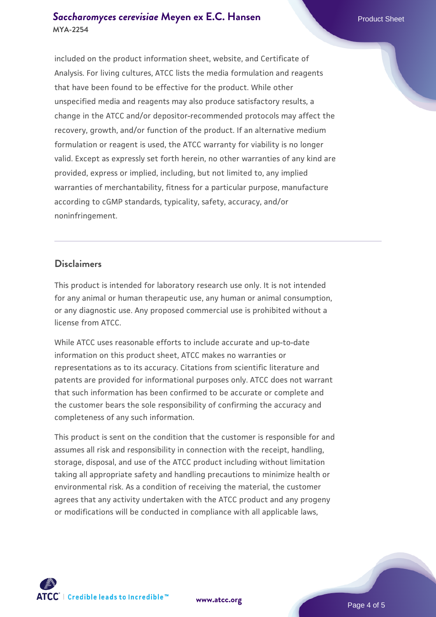#### **[Saccharomyces cerevisiae](https://www.atcc.org/products/mya-2254)** [Meyen ex E.C. Hansen](https://www.atcc.org/products/mya-2254) **MYA-2254**

included on the product information sheet, website, and Certificate of Analysis. For living cultures, ATCC lists the media formulation and reagents that have been found to be effective for the product. While other unspecified media and reagents may also produce satisfactory results, a change in the ATCC and/or depositor-recommended protocols may affect the recovery, growth, and/or function of the product. If an alternative medium formulation or reagent is used, the ATCC warranty for viability is no longer valid. Except as expressly set forth herein, no other warranties of any kind are provided, express or implied, including, but not limited to, any implied warranties of merchantability, fitness for a particular purpose, manufacture according to cGMP standards, typicality, safety, accuracy, and/or noninfringement.

#### **Disclaimers**

This product is intended for laboratory research use only. It is not intended for any animal or human therapeutic use, any human or animal consumption, or any diagnostic use. Any proposed commercial use is prohibited without a license from ATCC.

While ATCC uses reasonable efforts to include accurate and up-to-date information on this product sheet, ATCC makes no warranties or representations as to its accuracy. Citations from scientific literature and patents are provided for informational purposes only. ATCC does not warrant that such information has been confirmed to be accurate or complete and the customer bears the sole responsibility of confirming the accuracy and completeness of any such information.

This product is sent on the condition that the customer is responsible for and assumes all risk and responsibility in connection with the receipt, handling, storage, disposal, and use of the ATCC product including without limitation taking all appropriate safety and handling precautions to minimize health or environmental risk. As a condition of receiving the material, the customer agrees that any activity undertaken with the ATCC product and any progeny or modifications will be conducted in compliance with all applicable laws,



**[www.atcc.org](http://www.atcc.org)**

Page 4 of 5